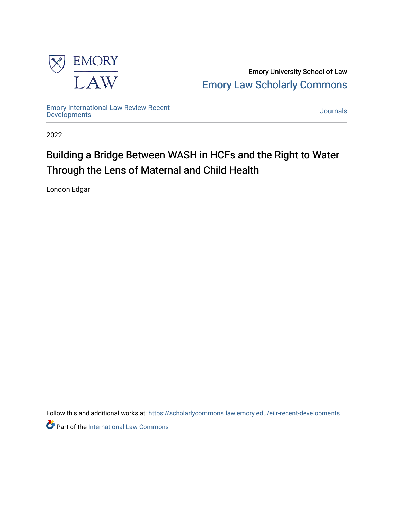

Emory University School of Law [Emory Law Scholarly Commons](https://scholarlycommons.law.emory.edu/) 

[Emory International Law Review Recent](https://scholarlycommons.law.emory.edu/eilr-recent-developments) [Developments](https://scholarlycommons.law.emory.edu/eilr-recent-developments) [Journals](https://scholarlycommons.law.emory.edu/journals) 

2022

# Building a Bridge Between WASH in HCFs and the Right to Water Through the Lens of Maternal and Child Health

London Edgar

Follow this and additional works at: [https://scholarlycommons.law.emory.edu/eilr-recent-developments](https://scholarlycommons.law.emory.edu/eilr-recent-developments?utm_source=scholarlycommons.law.emory.edu%2Feilr-recent-developments%2F35&utm_medium=PDF&utm_campaign=PDFCoverPages)

Part of the [International Law Commons](http://network.bepress.com/hgg/discipline/609?utm_source=scholarlycommons.law.emory.edu%2Feilr-recent-developments%2F35&utm_medium=PDF&utm_campaign=PDFCoverPages)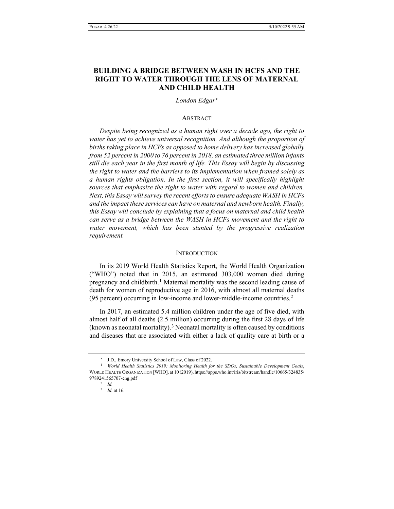## **BUILDING A BRIDGE BETWEEN WASH IN HCFS AND THE RIGHT TO WATER THROUGH THE LENS OF MATERNAL AND CHILD HEALTH**

## *London Edgar*[∗](#page-1-0)

## **ABSTRACT**

*Despite being recognized as a human right over a decade ago, the right to water has yet to achieve universal recognition. And although the proportion of births taking place in HCFs as opposed to home delivery has increased globally from 52 percent in 2000 to 76 percent in 2018, an estimated three million infants still die each year in the first month of life. This Essay will begin by discussing the right to water and the barriers to its implementation when framed solely as a human rights obligation. In the first section, it will specifically highlight sources that emphasize the right to water with regard to women and children. Next, this Essay will survey the recent efforts to ensure adequate WASH in HCFs and the impact these services can have on maternal and newborn health. Finally, this Essay will conclude by explaining that a focus on maternal and child health can serve as a bridge between the WASH in HCFs movement and the right to water movement, which has been stunted by the progressive realization requirement.*

#### **INTRODUCTION**

In its 2019 World Health Statistics Report, the World Health Organization ("WHO") noted that in 2015, an estimated 303,000 women died during pregnancy and childbirth.[1](#page-1-1) Maternal mortality was the second leading cause of death for women of reproductive age in 2016, with almost all maternal deaths (95 percent) occurring in low-income and lower-middle-income countries.[2](#page-1-2)

In 2017, an estimated 5.4 million children under the age of five died, with almost half of all deaths (2.5 million) occurring during the first 28 days of life (known as neonatal mortality).<sup>[3](#page-1-3)</sup> Neonatal mortality is often caused by conditions and diseases that are associated with either a lack of quality care at birth or a

<sup>∗</sup> J.D., Emory University School of Law, Class of 2022.

<span id="page-1-3"></span><span id="page-1-2"></span><span id="page-1-1"></span><span id="page-1-0"></span><sup>1</sup> *World Health Statistics 2019: Monitoring Health for the SDGs, Sustainable Development Goals*, WORLD HEALTH ORGANIZATION [WHO], at 10 (2019), https://apps.who.int/iris/bitstream/handle/10665/324835/ 9789241565707-eng.pdf

<sup>2</sup> *Id.*

<sup>3</sup> *Id.* at 16.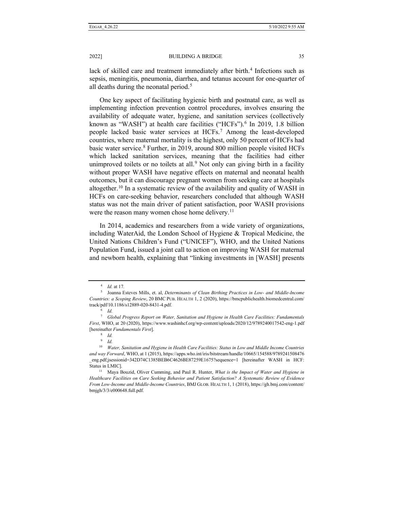lack of skilled care and treatment immediately after birth.<sup>[4](#page-2-0)</sup> Infections such as sepsis, meningitis, pneumonia, diarrhea, and tetanus account for one-quarter of all deaths during the neonatal period.<sup>[5](#page-2-1)</sup>

One key aspect of facilitating hygienic birth and postnatal care, as well as implementing infection prevention control procedures, involves ensuring the availability of adequate water, hygiene, and sanitation services (collectively known as "WASH") at health care facilities ("HCFs").<sup>[6](#page-2-2)</sup> In 2019, 1.8 billion people lacked basic water services at HCFs.[7](#page-2-3) Among the least-developed countries, where maternal mortality is the highest, only 50 percent of HCFs had basic water service[.8](#page-2-4) Further, in 2019, around 800 million people visited HCFs which lacked sanitation services, meaning that the facilities had either unimproved toilets or no toilets at all.<sup>[9](#page-2-5)</sup> Not only can giving birth in a facility without proper WASH have negative effects on maternal and neonatal health outcomes, but it can discourage pregnant women from seeking care at hospitals altogether.<sup>[10](#page-2-6)</sup> In a systematic review of the availability and quality of WASH in HCFs on care-seeking behavior, researchers concluded that although WASH status was not the main driver of patient satisfaction, poor WASH provisions were the reason many women chose home delivery.<sup>[11](#page-2-7)</sup>

In 2014, academics and researchers from a wide variety of organizations, including WaterAid, the London School of Hygiene & Tropical Medicine, the United Nations Children's Fund ("UNICEF"), WHO, and the United Nations Population Fund, issued a joint call to action on improving WASH for maternal and newborn health, explaining that "linking investments in [WASH] presents

<sup>4</sup> *Id.* at 17*.*

<span id="page-2-1"></span><span id="page-2-0"></span><sup>5</sup> Joanna Esteves Mills, et. al, *Determinants of Clean Birthing Practices in Low- and Middle-Income Countries: a Scoping Review*, 20 BMC PUB. HEALTH 1, 2 (2020), https://bmcpublichealth.biomedcentral.com/ track/pdf/10.1186/s12889-020-8431-4.pdf.

<sup>6</sup> *Id.*

<span id="page-2-3"></span><span id="page-2-2"></span><sup>7</sup> *Global Progress Report on Water, Sanitation and Hygiene in Health Care Facilities: Fundamentals First*, WHO, at 20 (2020), https://www.washinhcf.org/wp-content/uploads/2020/12/9789240017542-eng-1.pdf [hereinafter *Fundamentals First*].

<sup>8</sup> *Id.*

 $\frac{9}{10}$  *Id.* 

<span id="page-2-6"></span><span id="page-2-5"></span><span id="page-2-4"></span><sup>10</sup> *Water, Sanitation and Hygiene in Health Care Facilities: Status in Low and Middle Income Countries and way Forward*, WHO, at 1 (2015), https://apps.who.int/iris/bitstream/handle/10665/154588/9789241508476 \_eng.pdf;jsessionid=342D74C1385BEB6C4626BE87259E1675?sequence=1 [hereinafter WASH in HCF: Status in LMIC].<br><sup>11</sup> Maya Bouzid, Oliver Cumming, and Paul R. Hunter, *What is the Impact of Water and Hygiene in* 

<span id="page-2-7"></span>*Healthcare Facilities on Care Seeking Behavior and Patient Satisfaction? A Systematic Review of Evidence From Low-Income and Middle-Income Countries*, BMJ GLOB. HEALTH 1, 1 (2018), https://gh.bmj.com/content/ bmjgh/3/3/e000648.full.pdf.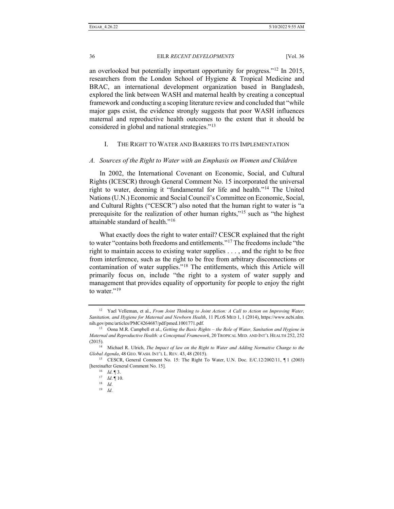an overlooked but potentially important opportunity for progress."[12](#page-3-0) In 2015, researchers from the London School of Hygiene & Tropical Medicine and BRAC, an international development organization based in Bangladesh, explored the link between WASH and maternal health by creating a conceptual framework and conducting a scoping literature review and concluded that "while major gaps exist, the evidence strongly suggests that poor WASH influences maternal and reproductive health outcomes to the extent that it should be considered in global and national strategies."[13](#page-3-1)

## I. THE RIGHT TO WATER AND BARRIERS TO ITS IMPLEMENTATION

#### *A. Sources of the Right to Water with an Emphasis on Women and Children*

In 2002, the International Covenant on Economic, Social, and Cultural Rights (ICESCR) through General Comment No. 15 incorporated the universal right to water, deeming it "fundamental for life and health."[14](#page-3-2) The United Nations (U.N.) Economic and Social Council's Committee on Economic, Social, and Cultural Rights ("CESCR") also noted that the human right to water is "a prerequisite for the realization of other human rights,"[15](#page-3-3) such as "the highest attainable standard of health."[16](#page-3-4)

What exactly does the right to water entail? CESCR explained that the right to water "contains both freedoms and entitlements."[17](#page-3-5) The freedoms include "the right to maintain access to existing water supplies . . . , and the right to be free from interference, such as the right to be free from arbitrary disconnections or contamination of water supplies."[18](#page-3-6) The entitlements, which this Article will primarily focus on, include "the right to a system of water supply and management that provides equality of opportunity for people to enjoy the right to water."<sup>[19](#page-3-7)</sup>

<span id="page-3-0"></span><sup>&</sup>lt;sup>12</sup> Yael Velleman, et al., *From Joint Thinking to Joint Action: A Call to Action on Improving Water, Sanitation, and Hygiene for Maternal and Newborn Health*, 11 PLOS MED 1, 1 (2014), https://www.ncbi.nlm.

<span id="page-3-1"></span>nih.gov/pmc/articles/PMC4264687/pdf/pmed.1001771.pdf. 13 Oona M.R. Campbell et al., *Getting the Basic Rights – the Role of Water, Sanitation and Hygiene in Maternal and Reproductive Health: a Conceptual Framework*, 20 TROPICAL MED. AND INT'L HEALTH 252, 252 (2015).

<span id="page-3-2"></span><sup>14</sup> Michael R. Ulrich, *The Impact of law on the Right to Water and Adding Normative Change to the Global Agenda*, 48 GEO. WASH. INT'L L. REV. 43, 48 (2015).

<span id="page-3-7"></span><span id="page-3-6"></span><span id="page-3-5"></span><span id="page-3-4"></span><span id="page-3-3"></span><sup>15</sup> CESCR, General Comment No. 15: The Right To Water, U.N. Doc. E/C.12/2002/11, ¶ 1 (2003) [hereinafter General Comment No. 15].

<sup>16</sup> *Id*. ¶ 3.

<sup>17</sup> *Id*. ¶ 10.

<sup>18</sup> *Id*.

<sup>19</sup> *Id*.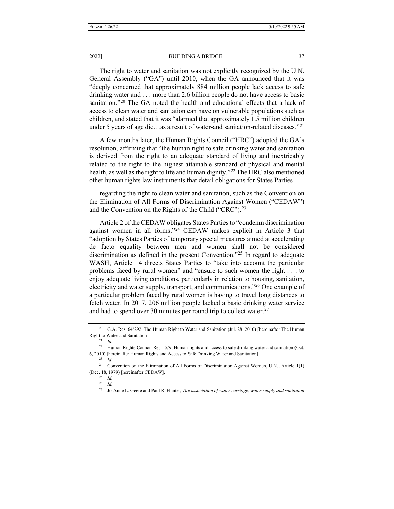The right to water and sanitation was not explicitly recognized by the U.N. General Assembly ("GA") until 2010, when the GA announced that it was "deeply concerned that approximately 884 million people lack access to safe drinking water and . . . more than 2.6 billion people do not have access to basic sanitation."<sup>[20](#page-4-0)</sup> The GA noted the health and educational effects that a lack of access to clean water and sanitation can have on vulnerable populations such as children, and stated that it was "alarmed that approximately 1.5 million children under 5 years of age die…as a result of water-and sanitation-related diseases."<sup>[21](#page-4-1)</sup>

A few months later, the Human Rights Council ("HRC") adopted the GA's resolution, affirming that "the human right to safe drinking water and sanitation is derived from the right to an adequate standard of living and inextricably related to the right to the highest attainable standard of physical and mental health, as well as the right to life and human dignity."<sup>[22](#page-4-2)</sup> The HRC also mentioned other human rights law instruments that detail obligations for States Parties

regarding the right to clean water and sanitation, such as the Convention on the Elimination of All Forms of Discrimination Against Women ("CEDAW") and the Convention on the Rights of the Child ("CRC").<sup>[23](#page-4-3)</sup>

Article 2 of the CEDAW obligates States Parties to "condemn discrimination against women in all forms."[24](#page-4-4) CEDAW makes explicit in Article 3 that "adoption by States Parties of temporary special measures aimed at accelerating de facto equality between men and women shall not be considered discrimination as defined in the present Convention."[25](#page-4-5) In regard to adequate WASH, Article 14 directs States Parties to "take into account the particular problems faced by rural women" and "ensure to such women the right . . . to enjoy adequate living conditions, particularly in relation to housing, sanitation, electricity and water supply, transport, and communications."[26](#page-4-6) One example of a particular problem faced by rural women is having to travel long distances to fetch water. In 2017, 206 million people lacked a basic drinking water service and had to spend over 30 minutes per round trip to collect water.<sup>[27](#page-4-7)</sup>

<span id="page-4-0"></span><sup>&</sup>lt;sup>20</sup> G.A. Res. 64/292, The Human Right to Water and Sanitation (Jul. 28, 2010) [hereinafter The Human Right to Water and Sanitation].

<sup>21</sup> *Id.*

<span id="page-4-2"></span><span id="page-4-1"></span><sup>&</sup>lt;sup>22</sup> Human Rights Council Res. 15/9, Human rights and access to safe drinking water and sanitation (Oct. 6, 2010) [hereinafter Human Rights and Access to Safe Drinking Water and Sanitation].

<sup>23</sup> *Id.*

<span id="page-4-7"></span><span id="page-4-6"></span><span id="page-4-5"></span><span id="page-4-4"></span><span id="page-4-3"></span><sup>24</sup> Convention on the Elimination of All Forms of Discrimination Against Women, U.N., Article 1(1) (Dec. 18, 1979) [hereinafter CEDAW].

<sup>25</sup> *Id.*

<sup>26</sup> *Id.*

<sup>27</sup> Jo-Anne L. Geere and Paul R. Hunter, *The association of water carriage, water supply and sanitation*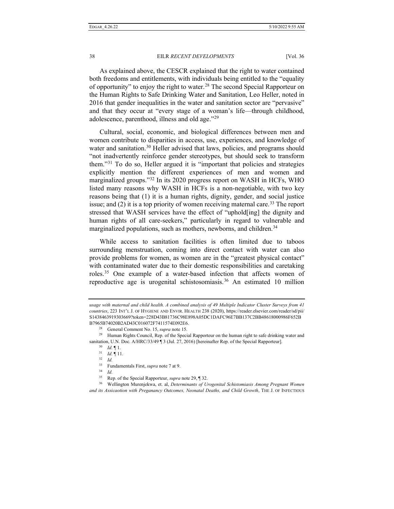As explained above, the CESCR explained that the right to water contained both freedoms and entitlements, with individuals being entitled to the "equality of opportunity" to enjoy the right to water.[28](#page-5-0) The second Special Rapporteur on the Human Rights to Safe Drinking Water and Sanitation, Leo Heller, noted in 2016 that gender inequalities in the water and sanitation sector are "pervasive" and that they occur at "every stage of a woman's life—through childhood, adolescence, parenthood, illness and old age."[29](#page-5-1)

Cultural, social, economic, and biological differences between men and women contribute to disparities in access, use, experiences, and knowledge of water and sanitation.<sup>[30](#page-5-2)</sup> Heller advised that laws, policies, and programs should "not inadvertently reinforce gender stereotypes, but should seek to transform them."[31](#page-5-3) To do so, Heller argued it is "important that policies and strategies explicitly mention the different experiences of men and women and marginalized groups."[32](#page-5-4) In its 2020 progress report on WASH in HCFs, WHO listed many reasons why WASH in HCFs is a non-negotiable, with two key reasons being that (1) it is a human rights, dignity, gender, and social justice issue; and  $(2)$  it is a top priority of women receiving maternal care.<sup>[33](#page-5-5)</sup> The report stressed that WASH services have the effect of "uphold[ing] the dignity and human rights of all care-seekers," particularly in regard to vulnerable and marginalized populations, such as mothers, newborns, and children.<sup>34</sup>

While access to sanitation facilities is often limited due to taboos surrounding menstruation, coming into direct contact with water can also provide problems for women, as women are in the "greatest physical contact" with contaminated water due to their domestic responsibilities and caretaking roles.[35](#page-5-7) One example of a water-based infection that affects women of reproductive age is urogenital schistosomiasis.<sup>[36](#page-5-8)</sup> An estimated 10 million

*usage with maternal and child health. A combined analysis of 49 Multiple Indicator Cluster Surveys from 41 countries*, 223 INT'L J. OF HYGIENE AND ENVIR. HEALTH 238 (2020), https://reader.elsevier.com/reader/sd/pii/ S1438463919303669?token=228D43B81736C98E898A05DC1DAFC96E7BB137C2BB48618000986F652B B7965B74020B2AD43C016072F7411574E092E6.

General Comment No. 15, *supra* note 15.

<span id="page-5-3"></span><span id="page-5-2"></span><span id="page-5-1"></span><span id="page-5-0"></span><sup>&</sup>lt;sup>29</sup> Human Rights Council, Rep. of the Special Rapporteur on the human right to safe drinking water and sanitation, U.N. Doc. A/HRC/33/49 ¶ 3 (Jul. 27, 2016) [hereinafter Rep. of the Special Rapporteur].

<sup>30</sup> *Id.* ¶ 1.

<sup>31</sup> *Id.* ¶ 11.

<sup>32</sup> *Id.*

<sup>33</sup> Fundamentals First, *supra* note 7 at 9.

<sup>34</sup> *Id.*

<sup>35</sup> Rep. of the Special Rapporteur, *supra* note 29, ¶ 32.

<span id="page-5-8"></span><span id="page-5-7"></span><span id="page-5-6"></span><span id="page-5-5"></span><span id="page-5-4"></span><sup>36</sup> Wellington Murenjekwa, et. al, *Determinants of Urogenital Schistomiasis Among Pregnant Women and its Assicaotion with Preganancy Outcomes, Neonatal Deaths, and Child Growth*, THE J. OF INFECTIOUS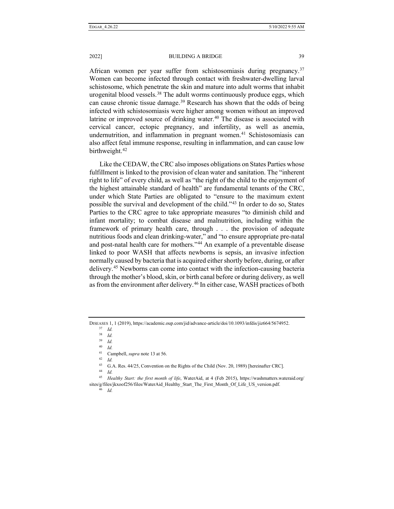African women per year suffer from schistosomiasis during pregnancy.<sup>[37](#page-6-0)</sup> Women can become infected through contact with freshwater-dwelling larval schistosome, which penetrate the skin and mature into adult worms that inhabit urogenital blood vessels.<sup>[38](#page-6-1)</sup> The adult worms continuously produce eggs, which can cause chronic tissue damage.<sup>[39](#page-6-2)</sup> Research has shown that the odds of being infected with schistosomiasis were higher among women without an improved latrine or improved source of drinking water.<sup>40</sup> The disease is associated with cervical cancer, ectopic pregnancy, and infertility, as well as anemia, undernutrition, and inflammation in pregnant women. $41$  Schistosomiasis can also affect fetal immune response, resulting in inflammation, and can cause low birthweight.<sup>[42](#page-6-5)</sup>

Like the CEDAW, the CRC also imposes obligations on States Parties whose fulfillment is linked to the provision of clean water and sanitation. The "inherent right to life" of every child, as well as "the right of the child to the enjoyment of the highest attainable standard of health" are fundamental tenants of the CRC, under which State Parties are obligated to "ensure to the maximum extent possible the survival and development of the child."[43](#page-6-6) In order to do so, States Parties to the CRC agree to take appropriate measures "to diminish child and infant mortality; to combat disease and malnutrition, including within the framework of primary health care, through . . . the provision of adequate nutritious foods and clean drinking-water," and "to ensure appropriate pre-natal and post-natal health care for mothers."[44](#page-6-7) An example of a preventable disease linked to poor WASH that affects newborns is sepsis, an invasive infection normally caused by bacteria that is acquired either shortly before, during, or after delivery.[45](#page-6-8) Newborns can come into contact with the infection-causing bacteria through the mother's blood, skin, or birth canal before or during delivery, as well as from the environment after delivery.<sup>[46](#page-6-9)</sup> In either case, WASH practices of both

<span id="page-6-3"></span><span id="page-6-2"></span><span id="page-6-1"></span><span id="page-6-0"></span>DISEASES 1, 1 (2019), https://academic.oup.com/jid/advance-article/doi/10.1093/infdis/jiz664/5674952.

<sup>37</sup> *Id.*

<sup>38</sup> *Id.*

<sup>39</sup> *Id.*

<sup>40</sup> *Id.*

<sup>41</sup> Campbell, *supra* note 13 at 56.

<sup>42</sup> *Id.*

<sup>43</sup> G.A. Res. 44/25, Convention on the Rights of the Child (Nov. 20, 1989) [hereinafter CRC].

<span id="page-6-9"></span><span id="page-6-8"></span><span id="page-6-7"></span><span id="page-6-6"></span><span id="page-6-5"></span><span id="page-6-4"></span><sup>45</sup> *Healthy Start: the first month of life*, WaterAid, at 4 (Feb 2015), https://washmatters.wateraid.org/ sites/g/files/jkxoof256/files/WaterAid\_Healthy\_Start\_The\_First\_Month\_Of\_Life\_US\_version.pdf.

<sup>44</sup> *Id.*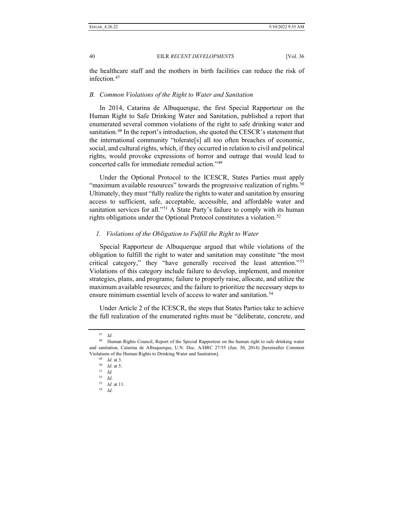the healthcare staff and the mothers in birth facilities can reduce the risk of infection.<sup>[47](#page-7-0)</sup>

## *B. Common Violations of the Right to Water and Sanitation*

In 2014, Catarina de Albuquerque, the first Special Rapporteur on the Human Right to Safe Drinking Water and Sanitation, published a report that enumerated several common violations of the right to safe drinking water and sanitation.[48](#page-7-1) In the report's introduction, she quoted the CESCR's statement that the international community "tolerate[s] all too often breaches of economic, social, and cultural rights, which, if they occurred in relation to civil and political rights, would provoke expressions of horror and outrage that would lead to concerted calls for immediate remedial action."[49](#page-7-2)

Under the Optional Protocol to the ICESCR, States Parties must apply "maximum available resources" towards the progressive realization of rights.<sup>[50](#page-7-3)</sup> Ultimately, they must "fully realize the rights to water and sanitation by ensuring access to sufficient, safe, acceptable, accessible, and affordable water and sanitation services for all."<sup>[51](#page-7-4)</sup> A State Party's failure to comply with its human rights obligations under the Optional Protocol constitutes a violation.<sup>[52](#page-7-5)</sup>

## *1. Violations of the Obligation to Fulfill the Right to Water*

Special Rapporteur de Albuquerque argued that while violations of the obligation to fulfill the right to water and sanitation may constitute "the most critical category," they "have generally received the least attention."[53](#page-7-6) Violations of this category include failure to develop, implement, and monitor strategies, plans, and programs; failure to properly raise, allocate, and utilize the maximum available resources; and the failure to prioritize the necessary steps to ensure minimum essential levels of access to water and sanitation.<sup>[54](#page-7-7)</sup>

Under Article 2 of the ICESCR, the steps that States Parties take to achieve the full realization of the enumerated rights must be "deliberate, concrete, and

<sup>47</sup> *Id.*

<span id="page-7-5"></span><span id="page-7-4"></span><span id="page-7-3"></span><span id="page-7-2"></span><span id="page-7-1"></span><span id="page-7-0"></span><sup>48</sup> Human Rights Council, Report of the Special Rapporteur on the human right to safe drinking water and sanitation, Catarina de Albuquerque, U.N. Doc. A/HRC 27/55 (Jun. 30, 2014) [hereinafter Common Violations of the Human Rights to Drinking Water and Sanitation].

<sup>49</sup> *Id.* at 3.

<sup>50</sup> *Id.* at 5.

<sup>51</sup> *Id.*

<sup>52</sup> *Id*.

<span id="page-7-6"></span><sup>53</sup> *Id.* at 11.

<span id="page-7-7"></span><sup>54</sup> *Id.*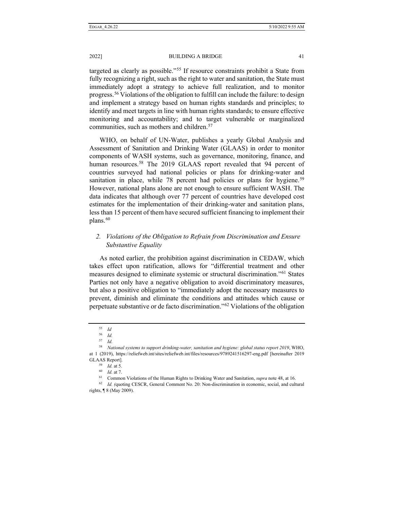targeted as clearly as possible."[55](#page-8-0) If resource constraints prohibit a State from fully recognizing a right, such as the right to water and sanitation, the State must immediately adopt a strategy to achieve full realization, and to monitor progress.[56](#page-8-1) Violations of the obligation to fulfill can include the failure: to design and implement a strategy based on human rights standards and principles; to identify and meet targets in line with human rights standards; to ensure effective monitoring and accountability; and to target vulnerable or marginalized communities, such as mothers and children.<sup>[57](#page-8-2)</sup>

WHO, on behalf of UN-Water, publishes a yearly Global Analysis and Assessment of Sanitation and Drinking Water (GLAAS) in order to monitor components of WASH systems, such as governance, monitoring, finance, and human resources.<sup>[58](#page-8-3)</sup> The 2019 GLAAS report revealed that 94 percent of countries surveyed had national policies or plans for drinking-water and sanitation in place, while 78 percent had policies or plans for hygiene.<sup>[59](#page-8-4)</sup> However, national plans alone are not enough to ensure sufficient WASH. The data indicates that although over 77 percent of countries have developed cost estimates for the implementation of their drinking-water and sanitation plans, less than 15 percent of them have secured sufficient financing to implement their plans.<sup>[60](#page-8-5)</sup>

## *2. Violations of the Obligation to Refrain from Discrimination and Ensure Substantive Equality*

As noted earlier, the prohibition against discrimination in CEDAW, which takes effect upon ratification, allows for "differential treatment and other measures designed to eliminate systemic or structural discrimination."<sup>[61](#page-8-6)</sup> States Parties not only have a negative obligation to avoid discriminatory measures, but also a positive obligation to "immediately adopt the necessary measures to prevent, diminish and eliminate the conditions and attitudes which cause or perpetuate substantive or de facto discrimination."[62](#page-8-7) Violations of the obligation

<sup>55</sup> *Id*

<sup>56</sup> *Id.*

<sup>57</sup> *Id.*

<span id="page-8-4"></span><span id="page-8-3"></span><span id="page-8-2"></span><span id="page-8-1"></span><span id="page-8-0"></span><sup>58</sup> *National systems to support drinking-water, sanitation and hygiene: global status report 2019*, WHO, at 1 (2019), https://reliefweb.int/sites/reliefweb.int/files/resources/9789241516297-eng.pdf [hereinafter 2019 GLAAS Report].

<sup>59</sup> *Id.* at 5.

<sup>60</sup> *Id.* at 7.

<sup>61</sup> Common Violations of the Human Rights to Drinking Water and Sanitation, *supra* note 48, at 16.

<span id="page-8-7"></span><span id="page-8-6"></span><span id="page-8-5"></span><sup>62</sup> *Id. (*quoting CESCR, General Comment No. 20: Non-discrimination in economic, social, and cultural rights, ¶ 8 (May 2009).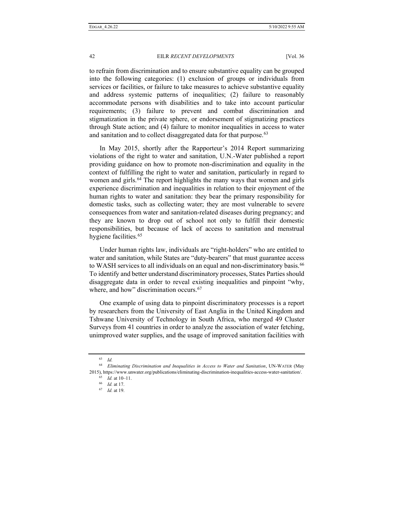to refrain from discrimination and to ensure substantive equality can be grouped into the following categories: (1) exclusion of groups or individuals from services or facilities, or failure to take measures to achieve substantive equality and address systemic patterns of inequalities; (2) failure to reasonably accommodate persons with disabilities and to take into account particular requirements; (3) failure to prevent and combat discrimination and stigmatization in the private sphere, or endorsement of stigmatizing practices through State action; and (4) failure to monitor inequalities in access to water and sanitation and to collect disaggregated data for that purpose.<sup>[63](#page-9-0)</sup>

In May 2015, shortly after the Rapporteur's 2014 Report summarizing violations of the right to water and sanitation, U.N.-Water published a report providing guidance on how to promote non-discrimination and equality in the context of fulfilling the right to water and sanitation, particularly in regard to women and girls.<sup>[64](#page-9-1)</sup> The report highlights the many ways that women and girls experience discrimination and inequalities in relation to their enjoyment of the human rights to water and sanitation: they bear the primary responsibility for domestic tasks, such as collecting water; they are most vulnerable to severe consequences from water and sanitation-related diseases during pregnancy; and they are known to drop out of school not only to fulfill their domestic responsibilities, but because of lack of access to sanitation and menstrual hygiene facilities.<sup>[65](#page-9-2)</sup>

Under human rights law, individuals are "right-holders" who are entitled to water and sanitation, while States are "duty-bearers" that must guarantee access to WASH services to all individuals on an equal and non-discriminatory basis.<sup>[66](#page-9-3)</sup> To identify and better understand discriminatory processes, States Parties should disaggregate data in order to reveal existing inequalities and pinpoint "why, where, and how" discrimination occurs.<sup>[67](#page-9-4)</sup>

One example of using data to pinpoint discriminatory processes is a report by researchers from the University of East Anglia in the United Kingdom and Tshwane University of Technology in South Africa, who merged 49 Cluster Surveys from 41 countries in order to analyze the association of water fetching, unimproved water supplies, and the usage of improved sanitation facilities with

<sup>63</sup> *Id.*

<span id="page-9-4"></span><span id="page-9-3"></span><span id="page-9-2"></span><span id="page-9-1"></span><span id="page-9-0"></span><sup>64</sup> *Eliminating Discrimination and Inequalities in Access to Water and Sanitation*, UN-WATER (May 2015), https://www.unwater.org/publications/eliminating-discrimination-inequalities-access-water-sanitation/.

<sup>65</sup> *Id.* at 10–11.

<sup>66</sup> *Id.* at 17.

<sup>67</sup> *Id.* at 19.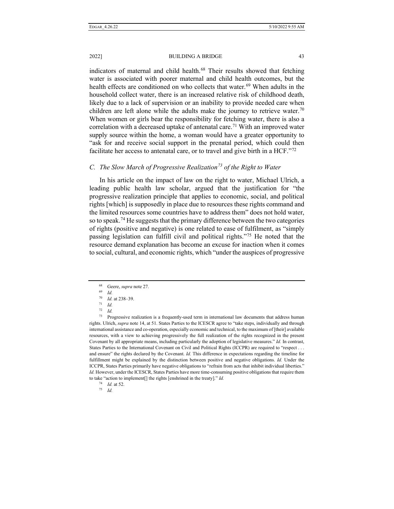2022] BUILDING A BRIDGE 43

indicators of maternal and child health.<sup>[68](#page-10-0)</sup> Their results showed that fetching water is associated with poorer maternal and child health outcomes, but the health effects are conditioned on who collects that water.<sup>[69](#page-10-1)</sup> When adults in the household collect water, there is an increased relative risk of childhood death, likely due to a lack of supervision or an inability to provide needed care when children are left alone while the adults make the journey to retrieve water.<sup>[70](#page-10-2)</sup> When women or girls bear the responsibility for fetching water, there is also a correlation with a decreased uptake of antenatal care.<sup>[71](#page-10-3)</sup> With an improved water supply source within the home, a woman would have a greater opportunity to "ask for and receive social support in the prenatal period, which could then facilitate her access to antenatal care, or to travel and give birth in a HCF."[72](#page-10-4)

## *C. The Slow March of Progressive Realization[73](#page-10-5) of the Right to Water*

In his article on the impact of law on the right to water, Michael Ulrich, a leading public health law scholar, argued that the justification for "the progressive realization principle that applies to economic, social, and political rights [which] is supposedly in place due to resources these rights command and the limited resources some countries have to address them" does not hold water, so to speak.<sup>[74](#page-10-6)</sup> He suggests that the primary difference between the two categories of rights (positive and negative) is one related to ease of fulfilment, as "simply passing legislation can fulfill civil and political rights."[75](#page-10-7) He noted that the resource demand explanation has become an excuse for inaction when it comes to social, cultural, and economic rights, which "under the auspices of progressive

<span id="page-10-7"></span><span id="page-10-6"></span><sup>74</sup> *Id.* at 52.

<sup>68</sup> Geere, *supra* note 27.

<sup>69</sup> *Id.*

<sup>70</sup> *Id.* at 238–39. <sup>71</sup> *Id.*

<sup>72</sup> *Id.*

<span id="page-10-5"></span><span id="page-10-4"></span><span id="page-10-3"></span><span id="page-10-2"></span><span id="page-10-1"></span><span id="page-10-0"></span> $73$  Progressive realization is a frequently-used term in international law documents that address human rights. Ulrich, *supra* note 14, at 51. States Parties to the ICESCR agree to "take steps, individually and through international assistance and co-operation, especially economic and technical, to the maximum of [their] available resources, with a view to achieving progressively the full realization of the rights recognized in the present Covenant by all appropriate means, including particularly the adoption of legislative measures." *Id.* In contrast, States Parties to the International Covenant on Civil and Political Rights (ICCPR) are required to "respect . . . and ensure" the rights declared by the Covenant. *Id.* This difference in expectations regarding the timeline for fulfillment might be explained by the distinction between positive and negative obligations. *Id.* Under the ICCPR, States Parties primarily have negative obligations to "refrain from acts that inhibit individual liberties." *Id.* However, under the ICESCR, States Parties have more time-consuming positive obligations that require them to take "action to implement[] the rights [enshrined in the treaty]." *Id.*

<sup>75</sup> *Id.*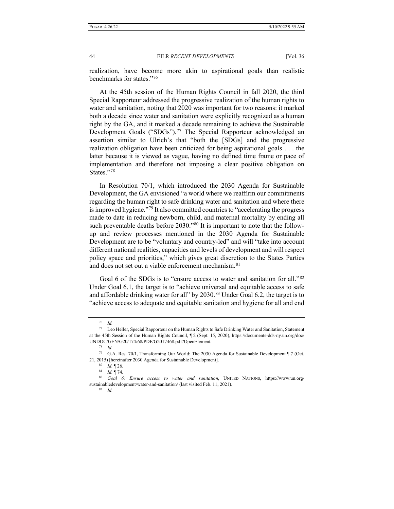realization, have become more akin to aspirational goals than realistic benchmarks for states."[76](#page-11-0)

At the 45th session of the Human Rights Council in fall 2020, the third Special Rapporteur addressed the progressive realization of the human rights to water and sanitation, noting that 2020 was important for two reasons: it marked both a decade since water and sanitation were explicitly recognized as a human right by the GA, and it marked a decade remaining to achieve the Sustainable Development Goals ("SDGs").<sup>[77](#page-11-1)</sup> The Special Rapporteur acknowledged an assertion similar to Ulrich's that "both the [SDGs] and the progressive realization obligation have been criticized for being aspirational goals . . . the latter because it is viewed as vague, having no defined time frame or pace of implementation and therefore not imposing a clear positive obligation on States."[78](#page-11-2)

In Resolution 70/1, which introduced the 2030 Agenda for Sustainable Development, the GA envisioned "a world where we reaffirm our commitments regarding the human right to safe drinking water and sanitation and where there is improved hygiene."<sup>[79](#page-11-3)</sup> It also committed countries to "accelerating the progress made to date in reducing newborn, child, and maternal mortality by ending all such preventable deaths before 2030."<sup>[80](#page-11-4)</sup> It is important to note that the followup and review processes mentioned in the 2030 Agenda for Sustainable Development are to be "voluntary and country-led" and will "take into account different national realities, capacities and levels of development and will respect policy space and priorities," which gives great discretion to the States Parties and does not set out a viable enforcement mechanism.<sup>[81](#page-11-5)</sup>

Goal 6 of the SDGs is to "ensure access to water and sanitation for all."<sup>[82](#page-11-6)</sup> Under Goal 6.1, the target is to "achieve universal and equitable access to safe and affordable drinking water for all" by  $2030$ .<sup>[83](#page-11-7)</sup> Under Goal 6.2, the target is to "achieve access to adequate and equitable sanitation and hygiene for all and end

<sup>76</sup> *Id.*

<span id="page-11-1"></span><span id="page-11-0"></span><sup>77</sup> Leo Heller, Special Rapporteur on the Human Rights to Safe Drinking Water and Sanitation, Statement at the 45th Session of the Human Rights Council, ¶ 2 (Sept. 15, 2020), https://documents-dds-ny.un.org/doc/ UNDOC/GEN/G20/174/68/PDF/G2017468.pdf?OpenElement. 78 *Id.*

<span id="page-11-4"></span><span id="page-11-3"></span><span id="page-11-2"></span><sup>79</sup> G.A. Res. 70/1, Transforming Our World: The 2030 Agenda for Sustainable Development ¶ 7 (Oct. 21, 2015) [hereinafter 2030 Agenda for Sustainable Development].

<sup>80</sup> *Id.* ¶ 26.

<sup>81</sup> *Id.* ¶ 74.

<span id="page-11-7"></span><span id="page-11-6"></span><span id="page-11-5"></span><sup>82</sup> *Goal 6: Ensure access to water and sanitation*, UNITED NATIONS, https://www.un.org/ sustainabledevelopment/water-and-sanitation/ (last visited Feb. 11, 2021).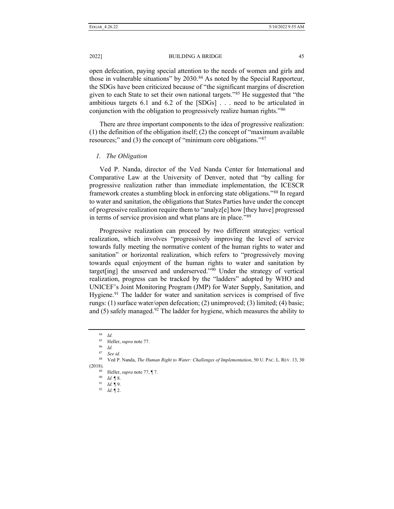open defecation, paying special attention to the needs of women and girls and those in vulnerable situations" by 2030.<sup>[84](#page-12-0)</sup> As noted by the Special Rapporteur, the SDGs have been criticized because of "the significant margins of discretion given to each State to set their own national targets."[85](#page-12-1) He suggested that "the ambitious targets 6.1 and 6.2 of the [SDGs] . . . need to be articulated in conjunction with the obligation to progressively realize human rights."[86](#page-12-2)

There are three important components to the idea of progressive realization: (1) the definition of the obligation itself; (2) the concept of "maximum available resources;" and (3) the concept of "minimum core obligations."[87](#page-12-3)

## *1. The Obligation*

Ved P. Nanda, director of the Ved Nanda Center for International and Comparative Law at the University of Denver, noted that "by calling for progressive realization rather than immediate implementation, the ICESCR framework creates a stumbling block in enforcing state obligations."[88](#page-12-4) In regard to water and sanitation, the obligations that States Parties have under the concept of progressive realization require them to "analyz[e] how [they have] progressed in terms of service provision and what plans are in place."[89](#page-12-5)

Progressive realization can proceed by two different strategies: vertical realization, which involves "progressively improving the level of service towards fully meeting the normative content of the human rights to water and sanitation" or horizontal realization, which refers to "progressively moving towards equal enjoyment of the human rights to water and sanitation by target[ing] the unserved and underserved."[90](#page-12-6) Under the strategy of vertical realization, progress can be tracked by the "ladders" adopted by WHO and UNICEF's Joint Monitoring Program (JMP) for Water Supply, Sanitation, and Hygiene.<sup>[91](#page-12-7)</sup> The ladder for water and sanitation services is comprised of five rungs: (1) surface water/open defecation; (2) unimproved; (3) limited; (4) basic; and  $(5)$  safely managed.<sup>[92](#page-12-8)</sup> The ladder for hygiene, which measures the ability to

<sup>84</sup> *Id.*

<sup>85</sup> Heller, *supra* note 77.

<sup>86</sup> *Id.*

<sup>87</sup> *See id.*

<span id="page-12-8"></span><span id="page-12-7"></span><span id="page-12-6"></span><span id="page-12-5"></span><span id="page-12-4"></span><span id="page-12-3"></span><span id="page-12-2"></span><span id="page-12-1"></span><span id="page-12-0"></span><sup>88</sup> Ved P. Nanda, *The Human Right to Water: Challenges of Implementation*, 50 U. PAC. L. REV. 13, 30 (2018).

<sup>89</sup> Heller, *supra* note 77, ¶ 7.

<sup>90</sup> *Id.* ¶ 8.

<sup>91</sup> *Id.* ¶ 9.

<sup>92</sup> *Id.* ¶ 2.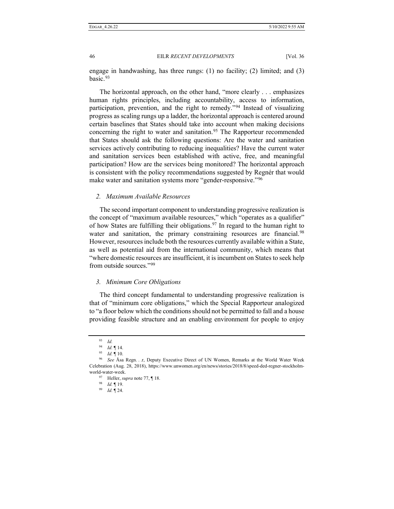engage in handwashing, has three rungs:  $(1)$  no facility;  $(2)$  limited; and  $(3)$ basic.[93](#page-13-0)

The horizontal approach, on the other hand, "more clearly . . . emphasizes human rights principles, including accountability, access to information, participation, prevention, and the right to remedy."[94](#page-13-1) Instead of visualizing progress as scaling rungs up a ladder, the horizontal approach is centered around certain baselines that States should take into account when making decisions concerning the right to water and sanitation.<sup>[95](#page-13-2)</sup> The Rapporteur recommended that States should ask the following questions: Are the water and sanitation services actively contributing to reducing inequalities? Have the current water and sanitation services been established with active, free, and meaningful participation? How are the services being monitored? The horizontal approach is consistent with the policy recommendations suggested by Regnér that would make water and sanitation systems more "gender-responsive."<sup>[96](#page-13-3)</sup>

### *2. Maximum Available Resources*

The second important component to understanding progressive realization is the concept of "maximum available resources," which "operates as a qualifier" of how States are fulfilling their obligations.<sup>[97](#page-13-4)</sup> In regard to the human right to water and sanitation, the primary constraining resources are financial.<sup>[98](#page-13-5)</sup> However, resources include both the resources currently available within a State, as well as potential aid from the international community, which means that "where domestic resources are insufficient, it is incumbent on States to seek help from outside sources."[99](#page-13-6)

#### *3. Minimum Core Obligations*

The third concept fundamental to understanding progressive realization is that of "minimum core obligations," which the Special Rapporteur analogized to "a floor below which the conditions should not be permitted to fall and a house providing feasible structure and an enabling environment for people to enjoy

<sup>93</sup> *Id.*

<sup>94</sup> *Id.* ¶ 14.

<sup>95</sup> *Id.* ¶ 10.

<span id="page-13-6"></span><span id="page-13-5"></span><span id="page-13-4"></span><span id="page-13-3"></span><span id="page-13-2"></span><span id="page-13-1"></span><span id="page-13-0"></span><sup>96</sup> *See* Åsa Regn. . .r, Deputy Executive Direct of UN Women, Remarks at the World Water Week Celebration (Aug. 28, 2018), https://www.unwomen.org/en/news/stories/2018/8/speed-ded-regner-stockholmworld-water-week.

<sup>97</sup> Heller, *supra* note 77, ¶ 18.

<sup>98</sup> *Id.* ¶ 19.

<sup>99</sup> *Id.* ¶ 24.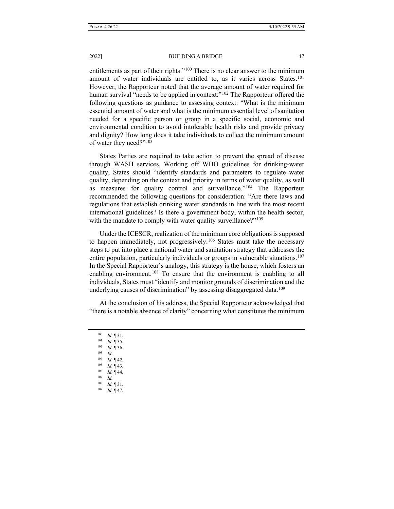2022] BUILDING A BRIDGE 47

entitlements as part of their rights."<sup>[100](#page-14-0)</sup> There is no clear answer to the minimum amount of water individuals are entitled to, as it varies across States.<sup>101</sup> However, the Rapporteur noted that the average amount of water required for human survival "needs to be applied in context."<sup>[102](#page-14-2)</sup> The Rapporteur offered the following questions as guidance to assessing context: "What is the minimum essential amount of water and what is the minimum essential level of sanitation needed for a specific person or group in a specific social, economic and environmental condition to avoid intolerable health risks and provide privacy and dignity? How long does it take individuals to collect the minimum amount of water they need?"<sup>[103](#page-14-3)</sup>

States Parties are required to take action to prevent the spread of disease through WASH services. Working off WHO guidelines for drinking-water quality, States should "identify standards and parameters to regulate water quality, depending on the context and priority in terms of water quality, as well as measures for quality control and surveillance."[104](#page-14-4) The Rapporteur recommended the following questions for consideration: "Are there laws and regulations that establish drinking water standards in line with the most recent international guidelines? Is there a government body, within the health sector, with the mandate to comply with water quality surveillance?"<sup>[105](#page-14-5)</sup>

Under the ICESCR, realization of the minimum core obligations is supposed to happen immediately, not progressively.<sup>[106](#page-14-6)</sup> States must take the necessary steps to put into place a national water and sanitation strategy that addresses the entire population, particularly individuals or groups in vulnerable situations.<sup>[107](#page-14-7)</sup> In the Special Rapporteur's analogy, this strategy is the house, which fosters an enabling environment.<sup>[108](#page-14-8)</sup> To ensure that the environment is enabling to all individuals, States must "identify and monitor grounds of discrimination and the underlying causes of discrimination" by assessing disaggregated data.<sup>[109](#page-14-9)</sup>

At the conclusion of his address, the Special Rapporteur acknowledged that "there is a notable absence of clarity" concerning what constitutes the minimum

<span id="page-14-9"></span><span id="page-14-8"></span><span id="page-14-7"></span><span id="page-14-6"></span><span id="page-14-5"></span><span id="page-14-4"></span><span id="page-14-3"></span><span id="page-14-2"></span><span id="page-14-1"></span><span id="page-14-0"></span><sup>100</sup> *Id.* ¶ 31. <sup>101</sup> *Id.* ¶ 35. <sup>102</sup> *Id.* ¶ 36.  $\frac{103}{104}$  *Id.*  $\begin{array}{cc} 104 & Id. \ \blacksquare 42. \end{array}$  $\begin{array}{cc} 105 & Id. \ \frac{106}{\frac{1}{d}} & \frac{106}{\frac{1}{d}} \end{array}$  $\frac{106}{107}$  *Id.* 144.  $\frac{107}{108}$  *Id. Id.* 131. <sup>109</sup> *Id.* ¶ 47.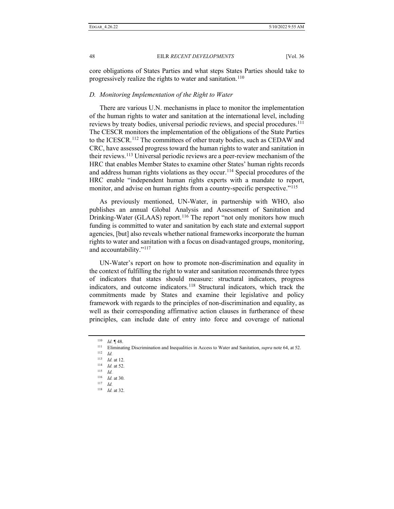core obligations of States Parties and what steps States Parties should take to progressively realize the rights to water and sanitation.<sup>[110](#page-15-0)</sup>

## *D. Monitoring Implementation of the Right to Water*

There are various U.N. mechanisms in place to monitor the implementation of the human rights to water and sanitation at the international level, including reviews by treaty bodies, universal periodic reviews, and special procedures.<sup>111</sup> The CESCR monitors the implementation of the obligations of the State Parties to the ICESCR.<sup>[112](#page-15-2)</sup> The committees of other treaty bodies, such as CEDAW and CRC, have assessed progress toward the human rights to water and sanitation in their reviews.[113](#page-15-3) Universal periodic reviews are a peer-review mechanism of the HRC that enables Member States to examine other States' human rights records and address human rights violations as they occur.<sup>[114](#page-15-4)</sup> Special procedures of the HRC enable "independent human rights experts with a mandate to report, monitor, and advise on human rights from a country-specific perspective."<sup>[115](#page-15-5)</sup>

As previously mentioned, UN-Water, in partnership with WHO, also publishes an annual Global Analysis and Assessment of Sanitation and Drinking-Water (GLAAS) report.<sup>[116](#page-15-6)</sup> The report "not only monitors how much funding is committed to water and sanitation by each state and external support agencies, [but] also reveals whether national frameworks incorporate the human rights to water and sanitation with a focus on disadvantaged groups, monitoring, and accountability."[117](#page-15-7)

UN-Water's report on how to promote non-discrimination and equality in the context of fulfilling the right to water and sanitation recommends three types of indicators that states should measure: structural indicators, progress indicators, and outcome indicators.<sup>[118](#page-15-8)</sup> Structural indicators, which track the commitments made by States and examine their legislative and policy framework with regards to the principles of non-discrimination and equality, as well as their corresponding affirmative action clauses in furtherance of these principles, can include date of entry into force and coverage of national

<sup>117</sup> *Id.*

<sup>110</sup> *Id.* ¶ 48.

<span id="page-15-1"></span><span id="page-15-0"></span><sup>111</sup> Eliminating Discrimination and Inequalities in Access to Water and Sanitation, *supra* note 64, at 52.

<span id="page-15-3"></span><span id="page-15-2"></span><sup>112</sup> *Id.* 

<sup>113</sup> *Id.* at 12.

<sup>114</sup> *Id.* at 52.

<span id="page-15-5"></span><span id="page-15-4"></span><sup>115</sup> *Id.*

<span id="page-15-7"></span><span id="page-15-6"></span><sup>116</sup> *Id.* at 30.

<span id="page-15-8"></span><sup>118</sup> *Id.* at 32.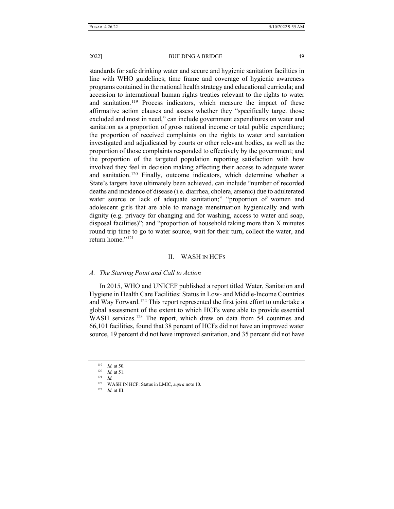standards for safe drinking water and secure and hygienic sanitation facilities in line with WHO guidelines; time frame and coverage of hygienic awareness programs contained in the national health strategy and educational curricula; and accession to international human rights treaties relevant to the rights to water and sanitation.<sup>[119](#page-16-0)</sup> Process indicators, which measure the impact of these affirmative action clauses and assess whether they "specifically target those excluded and most in need," can include government expenditures on water and sanitation as a proportion of gross national income or total public expenditure; the proportion of received complaints on the rights to water and sanitation investigated and adjudicated by courts or other relevant bodies, as well as the proportion of those complaints responded to effectively by the government; and the proportion of the targeted population reporting satisfaction with how involved they feel in decision making affecting their access to adequate water and sanitation.[120](#page-16-1) Finally, outcome indicators, which determine whether a State's targets have ultimately been achieved, can include "number of recorded deaths and incidence of disease (i.e. diarrhea, cholera, arsenic) due to adulterated water source or lack of adequate sanitation;" "proportion of women and adolescent girls that are able to manage menstruation hygienically and with dignity (e.g. privacy for changing and for washing, access to water and soap, disposal facilities)"; and "proportion of household taking more than X minutes round trip time to go to water source, wait for their turn, collect the water, and return home."<sup>[121](#page-16-2)</sup>

## II. WASH IN HCFS

## *A. The Starting Point and Call to Action*

In 2015, WHO and UNICEF published a report titled Water, Sanitation and Hygiene in Health Care Facilities: Status in Low- and Middle-Income Countries and Way Forward.<sup>[122](#page-16-3)</sup> This report represented the first joint effort to undertake a global assessment of the extent to which HCFs were able to provide essential WASH services.<sup>[123](#page-16-4)</sup> The report, which drew on data from 54 countries and 66,101 facilities, found that 38 percent of HCFs did not have an improved water source, 19 percent did not have improved sanitation, and 35 percent did not have

<sup>123</sup> *Id.* at III.

<sup>119</sup> *Id.* at 50.

<span id="page-16-2"></span><span id="page-16-1"></span><span id="page-16-0"></span> $\frac{120}{121}$  *Id.* at 51.

 $\frac{121}{122}$  *Id.* 

<span id="page-16-4"></span><span id="page-16-3"></span>WASH IN HCF: Status in LMIC, *supra* note 10.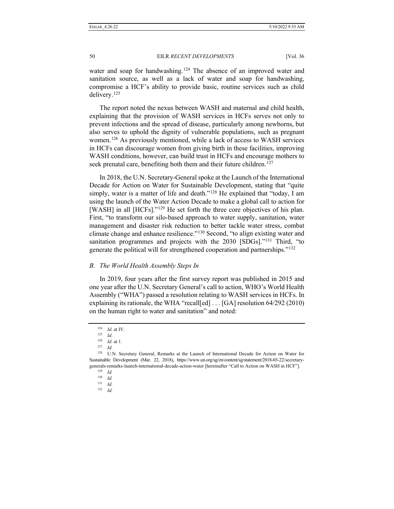water and soap for handwashing.<sup>[124](#page-17-0)</sup> The absence of an improved water and sanitation source, as well as a lack of water and soap for handwashing, compromise a HCF's ability to provide basic, routine services such as child delivery.[125](#page-17-1)

The report noted the nexus between WASH and maternal and child health, explaining that the provision of WASH services in HCFs serves not only to prevent infections and the spread of disease, particularly among newborns, but also serves to uphold the dignity of vulnerable populations, such as pregnant women.<sup>[126](#page-17-2)</sup> As previously mentioned, while a lack of access to WASH services in HCFs can discourage women from giving birth in these facilities, improving WASH conditions, however, can build trust in HCFs and encourage mothers to seek prenatal care, benefiting both them and their future children.<sup>[127](#page-17-3)</sup>

In 2018, the U.N. Secretary-General spoke at the Launch of the International Decade for Action on Water for Sustainable Development, stating that "quite simply, water is a matter of life and death."<sup>[128](#page-17-4)</sup> He explained that "today, I am using the launch of the Water Action Decade to make a global call to action for [WASH] in all [HCFs]."<sup>[129](#page-17-5)</sup> He set forth the three core objectives of his plan. First, "to transform our silo-based approach to water supply, sanitation, water management and disaster risk reduction to better tackle water stress, combat climate change and enhance resilience."[130](#page-17-6) Second, "to align existing water and sanitation programmes and projects with the 2030 [SDGs]."<sup>131</sup> Third, "to generate the political will for strengthened cooperation and partnerships."[132](#page-17-8)

## *B. The World Health Assembly Steps In*

In 2019, four years after the first survey report was published in 2015 and one year after the U.N. Secretary General's call to action, WHO's World Health Assembly ("WHA") passed a resolution relating to WASH services in HCFs. In explaining its rationale, the WHA "recall[ed] . . . [GA] resolution 64/292 (2010) on the human right to water and sanitation" and noted:

<sup>124</sup> *Id.* at IV.

<sup>125</sup> *Id.*

<sup>126</sup> *Id.* at 1.

<sup>127</sup> *Id.*

<span id="page-17-8"></span><span id="page-17-7"></span><span id="page-17-6"></span><span id="page-17-5"></span><span id="page-17-4"></span><span id="page-17-3"></span><span id="page-17-2"></span><span id="page-17-1"></span><span id="page-17-0"></span><sup>&</sup>lt;sup>128</sup> U.N. Secretary General, Remarks at the Launch of International Decade for Action on Water for Sustainable Development (Mar. 22, 2018), https://www.un.org/sg/en/content/sg/statement/2018-03-22/secretarygenerals-remarks-launch-international-decade-action-water [hereinafter "Call to Action on WASH in HCF"].

<sup>129</sup> *Id.*

 $\frac{130}{131}$  *Id.* 

<sup>131</sup> *Id.*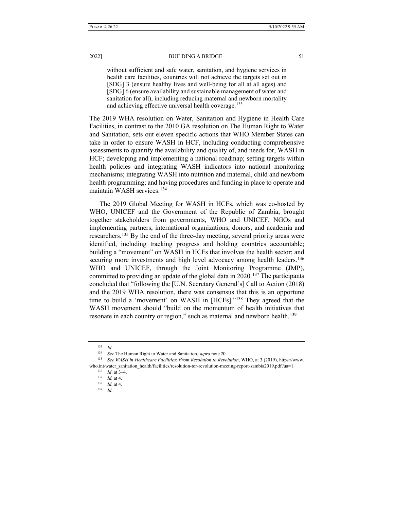without sufficient and safe water, sanitation, and hygiene services in health care facilities, countries will not achieve the targets set out in [SDG] 3 (ensure healthy lives and well-being for all at all ages) and [SDG] 6 (ensure availability and sustainable management of water and sanitation for all), including reducing maternal and newborn mortality and achieving effective universal health coverage.<sup>[133](#page-18-0)</sup>

The 2019 WHA resolution on Water, Sanitation and Hygiene in Health Care Facilities, in contrast to the 2010 GA resolution on The Human Right to Water and Sanitation, sets out eleven specific actions that WHO Member States can take in order to ensure WASH in HCF, including conducting comprehensive assessments to quantify the availability and quality of, and needs for, WASH in HCF; developing and implementing a national roadmap; setting targets within health policies and integrating WASH indicators into national monitoring mechanisms; integrating WASH into nutrition and maternal, child and newborn health programming; and having procedures and funding in place to operate and maintain WASH services.[134](#page-18-1)

The 2019 Global Meeting for WASH in HCFs, which was co-hosted by WHO, UNICEF and the Government of the Republic of Zambia, brought together stakeholders from governments, WHO and UNICEF, NGOs and implementing partners, international organizations, donors, and academia and researchers.<sup>[135](#page-18-2)</sup> By the end of the three-day meeting, several priority areas were identified, including tracking progress and holding countries accountable; building a "movement" on WASH in HCFs that involves the health sector; and securing more investments and high level advocacy among health leaders.<sup>136</sup> WHO and UNICEF, through the Joint Monitoring Programme (JMP), committed to providing an update of the global data in 2020.<sup>[137](#page-18-4)</sup> The participants concluded that "following the [U.N. Secretary General's] Call to Action (2018) and the 2019 WHA resolution, there was consensus that this is an opportune time to build a 'movement' on WASH in [HCFs]."[138](#page-18-5) They agreed that the WASH movement should "build on the momentum of health initiatives that resonate in each country or region," such as maternal and newborn health.<sup>[139](#page-18-6)</sup>

<sup>133</sup> *Id.*

<sup>134</sup> *See* The Human Right to Water and Sanitation,*supra* note 20.

<span id="page-18-6"></span><span id="page-18-5"></span><span id="page-18-4"></span><span id="page-18-3"></span><span id="page-18-2"></span><span id="page-18-1"></span><span id="page-18-0"></span><sup>135</sup> *See WASH in Healthcare Facilities*: *From Resolution to Revolution*, WHO, at 3 (2019), https://www. who.int/water\_sanitation\_health/facilities/resolution-tor-revolution-meeting-report-zambia2019.pdf?ua=1. 136 *Id*. at 3–4.

<sup>137</sup> *Id.* at 4.

<sup>138</sup> *Id.* at 4.

<sup>139</sup> *Id.*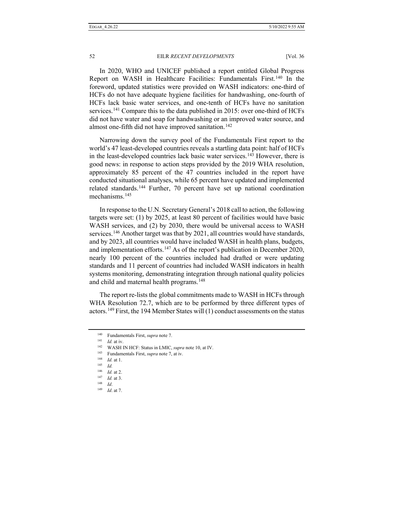In 2020, WHO and UNICEF published a report entitled Global Progress Report on WASH in Healthcare Facilities: Fundamentals First.[140](#page-19-0) In the foreword, updated statistics were provided on WASH indicators: one-third of HCFs do not have adequate hygiene facilities for handwashing, one-fourth of HCFs lack basic water services, and one-tenth of HCFs have no sanitation services.<sup>[141](#page-19-1)</sup> Compare this to the data published in 2015: over one-third of HCFs did not have water and soap for handwashing or an improved water source, and almost one-fifth did not have improved sanitation.<sup>[142](#page-19-2)</sup>

Narrowing down the survey pool of the Fundamentals First report to the world's 47 least-developed countries reveals a startling data point: half of HCFs in the least-developed countries lack basic water services.<sup>143</sup> However, there is good news: in response to action steps provided by the 2019 WHA resolution, approximately 85 percent of the 47 countries included in the report have conducted situational analyses, while 65 percent have updated and implemented related standards.[144](#page-19-4) Further, 70 percent have set up national coordination mechanisms<sup>[145](#page-19-5)</sup>

In response to the U.N. Secretary General's 2018 call to action, the following targets were set: (1) by 2025, at least 80 percent of facilities would have basic WASH services, and (2) by 2030, there would be universal access to WASH services.<sup>[146](#page-19-6)</sup> Another target was that by 2021, all countries would have standards, and by 2023, all countries would have included WASH in health plans, budgets, and implementation efforts.<sup>[147](#page-19-7)</sup> As of the report's publication in December 2020, nearly 100 percent of the countries included had drafted or were updating standards and 11 percent of countries had included WASH indicators in health systems monitoring, demonstrating integration through national quality policies and child and maternal health programs.<sup>[148](#page-19-8)</sup>

The report re-lists the global commitments made to WASH in HCFs through WHA Resolution 72.7, which are to be performed by three different types of actors.<sup>[149](#page-19-9)</sup> First, the 194 Member States will  $(1)$  conduct assessments on the status

<span id="page-19-0"></span><sup>140</sup> Fundamentals First, *supra* note 7.

<span id="page-19-2"></span><span id="page-19-1"></span><sup>141</sup> *Id.* at iv.

<sup>142</sup> WASH IN HCF: Status in LMIC, *supra* note 10, at IV.

<sup>143</sup> Fundamentals First, *supra* note 7, at iv.

<span id="page-19-5"></span><span id="page-19-4"></span><span id="page-19-3"></span> $\frac{144}{145}$  *Id.* at 1.

<sup>145</sup> *Id.*

<span id="page-19-6"></span><sup>146</sup> *Id.* at 2.

<span id="page-19-8"></span><span id="page-19-7"></span><sup>147</sup> *Id.* at 3.

<sup>148</sup> *Id*.

<span id="page-19-9"></span><sup>149</sup> *Id*. at 7.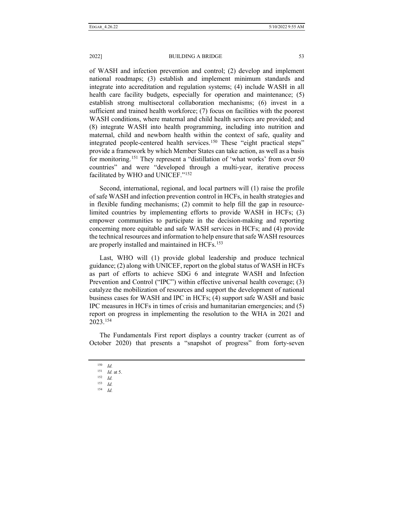of WASH and infection prevention and control; (2) develop and implement national roadmaps; (3) establish and implement minimum standards and integrate into accreditation and regulation systems; (4) include WASH in all health care facility budgets, especially for operation and maintenance; (5) establish strong multisectoral collaboration mechanisms; (6) invest in a sufficient and trained health workforce; (7) focus on facilities with the poorest WASH conditions, where maternal and child health services are provided; and (8) integrate WASH into health programming, including into nutrition and maternal, child and newborn health within the context of safe, quality and integrated people-centered health services.<sup>[150](#page-20-0)</sup> These "eight practical steps" provide a framework by which Member States can take action, as well as a basis for monitoring.[151](#page-20-1) They represent a "distillation of 'what works' from over 50 countries" and were "developed through a multi-year, iterative process facilitated by WHO and UNICEF."[152](#page-20-2)

Second, international, regional, and local partners will (1) raise the profile of safe WASH and infection prevention control in HCFs, in health strategies and in flexible funding mechanisms; (2) commit to help fill the gap in resourcelimited countries by implementing efforts to provide WASH in HCFs; (3) empower communities to participate in the decision-making and reporting concerning more equitable and safe WASH services in HCFs; and (4) provide the technical resources and information to help ensure that safe WASH resources are properly installed and maintained in HCFs.[153](#page-20-3)

Last, WHO will (1) provide global leadership and produce technical guidance; (2) along with UNICEF, report on the global status of WASH in HCFs as part of efforts to achieve SDG 6 and integrate WASH and Infection Prevention and Control ("IPC") within effective universal health coverage; (3) catalyze the mobilization of resources and support the development of national business cases for WASH and IPC in HCFs; (4) support safe WASH and basic IPC measures in HCFs in times of crisis and humanitarian emergencies; and (5) report on progress in implementing the resolution to the WHA in 2021 and 2023.[154](#page-20-4)

<span id="page-20-1"></span><span id="page-20-0"></span>The Fundamentals First report displays a country tracker (current as of October 2020) that presents a "snapshot of progress" from forty-seven

- <span id="page-20-3"></span><sup>153</sup> *Id.*
- <span id="page-20-4"></span><sup>154</sup> *Id.*

<sup>150</sup> *Id.*

<sup>151</sup> *Id.* at 5.

<span id="page-20-2"></span> $\frac{152}{153}$  *Id.*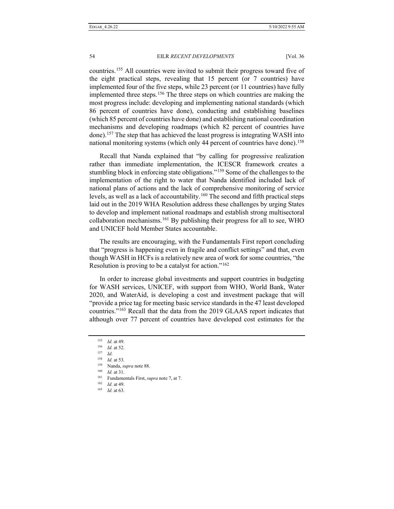countries.[155](#page-21-0) All countries were invited to submit their progress toward five of the eight practical steps, revealing that 15 percent (or 7 countries) have implemented four of the five steps, while 23 percent (or 11 countries) have fully implemented three steps.<sup>[156](#page-21-1)</sup> The three steps on which countries are making the most progress include: developing and implementing national standards (which 86 percent of countries have done), conducting and establishing baselines (which 85 percent of countries have done) and establishing national coordination mechanisms and developing roadmaps (which 82 percent of countries have done).[157](#page-21-2) The step that has achieved the least progress is integrating WASH into national monitoring systems (which only 44 percent of countries have done).<sup>[158](#page-21-3)</sup>

Recall that Nanda explained that "by calling for progressive realization rather than immediate implementation, the ICESCR framework creates a stumbling block in enforcing state obligations."<sup>[159](#page-21-4)</sup> Some of the challenges to the implementation of the right to water that Nanda identified included lack of national plans of actions and the lack of comprehensive monitoring of service levels, as well as a lack of accountability. [160](#page-21-5) The second and fifth practical steps laid out in the 2019 WHA Resolution address these challenges by urging States to develop and implement national roadmaps and establish strong multisectoral collaboration mechanisms.[161](#page-21-6) By publishing their progress for all to see, WHO and UNICEF hold Member States accountable.

The results are encouraging, with the Fundamentals First report concluding that "progress is happening even in fragile and conflict settings" and that, even though WASH in HCFs is a relatively new area of work for some countries, "the Resolution is proving to be a catalyst for action."[162](#page-21-7)

In order to increase global investments and support countries in budgeting for WASH services, UNICEF, with support from WHO, World Bank, Water 2020, and WaterAid, is developing a cost and investment package that will "provide a price tag for meeting basic service standards in the 47 least developed countries."[163](#page-21-8) Recall that the data from the 2019 GLAAS report indicates that although over 77 percent of countries have developed cost estimates for the

<span id="page-21-8"></span><span id="page-21-7"></span><sup>162</sup> *Id.* at 49.

<sup>163</sup> *Id.* at 63.

<sup>155</sup> *Id.* at 49.

<span id="page-21-2"></span><span id="page-21-1"></span><span id="page-21-0"></span><sup>156</sup> *Id.* at 52.

<sup>157</sup> *Id.*

<span id="page-21-3"></span><sup>158</sup> *Id.* at 53.

<sup>&</sup>lt;sup>159</sup> Nanda, *supra* note 88.

<span id="page-21-6"></span><span id="page-21-5"></span><span id="page-21-4"></span>*Id.* at 31.

<sup>161</sup> Fundamentals First, *supra* note 7, at 7.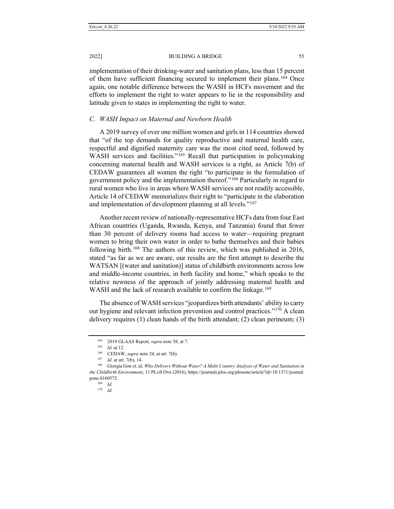2022] BUILDING A BRIDGE 55

implementation of their drinking-water and sanitation plans, less than 15 percent of them have sufficient financing secured to implement their plans.<sup>[164](#page-22-0)</sup> Once again, one notable difference between the WASH in HCFs movement and the efforts to implement the right to water appears to lie in the responsibility and latitude given to states in implementing the right to water.

## *C. WASH Impact on Maternal and Newborn Health*

A 2019 survey of over one million women and girls in 114 countries showed that "of the top demands for quality reproductive and maternal health care, respectful and dignified maternity care was the most cited need, followed by WASH services and facilities."<sup>[165](#page-22-1)</sup> Recall that participation in policymaking concerning maternal health and WASH services is a right, as Article 7(b) of CEDAW guarantees all women the right "to participate in the formulation of government policy and the implementation thereof."[166](#page-22-2) Particularly in regard to rural women who live in areas where WASH services are not readily accessible, Article 14 of CEDAW memorializes their right to "participate in the elaboration and implementation of development planning at all levels."<sup>[167](#page-22-3)</sup>

Another recent review of nationally-representative HCFs data from four East African countries (Uganda, Rwanda, Kenya, and Tanzania) found that fewer than 30 percent of delivery rooms had access to water—requiring pregnant women to bring their own water in order to bathe themselves and their babies following birth.<sup>[168](#page-22-4)</sup> The authors of this review, which was published in 2016, stated "as far as we are aware, our results are the first attempt to describe the WATSAN [(water and sanitation)] status of childbirth environments across low and middle-income countries, in both facility and home," which speaks to the relative newness of the approach of jointly addressing maternal health and WASH and the lack of research available to confirm the linkage.<sup>169</sup>

The absence of WASH services "jeopardizes birth attendants' ability to carry out hygiene and relevant infection prevention and control practices."[170](#page-22-6) A clean delivery requires (1) clean hands of the birth attendant; (2) clean perineum; (3)

<sup>164</sup> 2019 GLAAS Report, *supra* note 58, at 7.

<sup>165</sup> *Id.* at 12.

<sup>166</sup> CEDAW, *supra* note 24, at art. 7(b).

<sup>167</sup> *Id.* at art. 7(b), 14.

<span id="page-22-6"></span><span id="page-22-5"></span><span id="page-22-4"></span><span id="page-22-3"></span><span id="page-22-2"></span><span id="page-22-1"></span><span id="page-22-0"></span><sup>168</sup> Giorgia Gon et. al, *Who Delivers Without Water? A Multi Country Analysis of Water and Sanitation in the Childbirth Environment*, 11 PLOS ONE (2016), https://journals.plos.org/plosone/article?id=10.1371/journal. pone.0160572.

<sup>169</sup> *Id.*

<sup>170</sup> *Id.*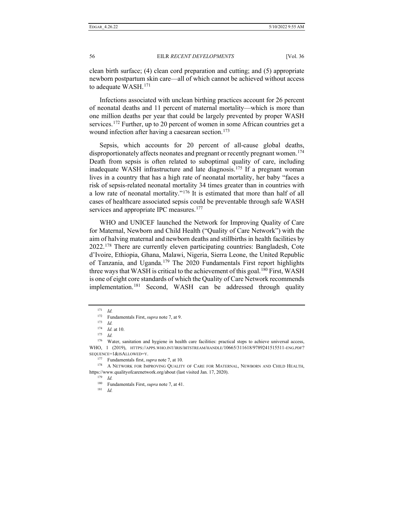clean birth surface; (4) clean cord preparation and cutting; and (5) appropriate newborn postpartum skin care—all of which cannot be achieved without access to adequate WASH.[171](#page-23-0)

Infections associated with unclean birthing practices account for 26 percent of neonatal deaths and 11 percent of maternal mortality—which is more than one million deaths per year that could be largely prevented by proper WASH services.<sup>[172](#page-23-1)</sup> Further, up to 20 percent of women in some African countries get a wound infection after having a caesarean section.<sup>[173](#page-23-2)</sup>

Sepsis, which accounts for 20 percent of all-cause global deaths, disproportionately affects neonates and pregnant or recently pregnant women.<sup>174</sup> Death from sepsis is often related to suboptimal quality of care, including inadequate WASH infrastructure and late diagnosis.[175](#page-23-4) If a pregnant woman lives in a country that has a high rate of neonatal mortality, her baby "faces a risk of sepsis-related neonatal mortality 34 times greater than in countries with a low rate of neonatal mortality."[176](#page-23-5) It is estimated that more than half of all cases of healthcare associated sepsis could be preventable through safe WASH services and appropriate IPC measures.<sup>[177](#page-23-6)</sup>

WHO and UNICEF launched the Network for Improving Quality of Care for Maternal, Newborn and Child Health ("Quality of Care Network") with the aim of halving maternal and newborn deaths and stillbirths in health facilities by 2022.[178](#page-23-7) There are currently eleven participating countries: Bangladesh, Cote d'Ivoire, Ethiopia, Ghana, Malawi, Nigeria, Sierra Leone, the United Republic of Tanzania, and Uganda.<sup>[179](#page-23-8)</sup> The 2020 Fundamentals First report highlights three ways that WASH is critical to the achievement of this goal.<sup>[180](#page-23-9)</sup> First, WASH is one of eight core standards of which the Quality of Care Network recommends implementation.[181](#page-23-10) Second, WASH can be addressed through quality

<sup>171</sup> *Id.*

<sup>172</sup> Fundamentals First, *supra* note 7, at 9.

<sup>173</sup> *Id.*

<sup>174</sup> *Id.* at 10.

<sup>175</sup> *Id.*

<span id="page-23-5"></span><span id="page-23-4"></span><span id="page-23-3"></span><span id="page-23-2"></span><span id="page-23-1"></span><span id="page-23-0"></span><sup>176</sup> Water, sanitation and hygiene in health care facilities: practical steps to achieve universal access, WHO, 1 (2019), HTTPS://APPS.WHO.INT/IRIS/BITSTREAM/HANDLE/10665/311618/9789241515511-ENG.PDF? SEQUENCE=1&ISALLOWED=Y.

<sup>177</sup> Fundamentals first, *supra* note 7, at 10.

<span id="page-23-10"></span><span id="page-23-9"></span><span id="page-23-8"></span><span id="page-23-7"></span><span id="page-23-6"></span><sup>178</sup> A NETWORK FOR IMPROVING QUALITY OF CARE FOR MATERNAL, NEWBORN AND CHILD HEALTH, https://www.qualityofcarenetwork.org/about (last visited Jan. 17, 2020).

<sup>179</sup> *Id.*

<sup>180</sup> Fundamentals First, *supra* note 7, at 41.

<sup>181</sup> *Id.*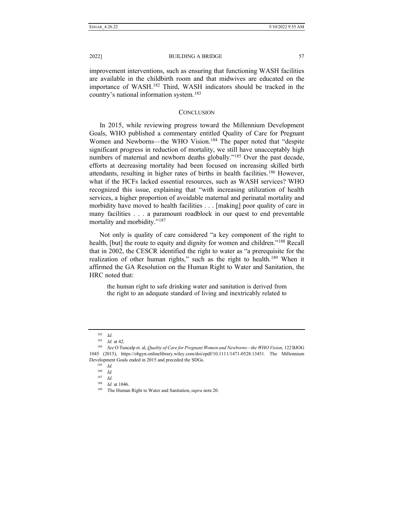improvement interventions, such as ensuring that functioning WASH facilities are available in the childbirth room and that midwives are educated on the importance of WASH.[182](#page-24-0) Third, WASH indicators should be tracked in the country's national information system.[183](#page-24-1)

## **CONCLUSION**

In 2015, while reviewing progress toward the Millennium Development Goals, WHO published a commentary entitled Quality of Care for Pregnant Women and Newborns—the WHO Vision.<sup>184</sup> The paper noted that "despite significant progress in reduction of mortality, we still have unacceptably high numbers of maternal and newborn deaths globally."<sup>[185](#page-24-3)</sup> Over the past decade, efforts at decreasing mortality had been focused on increasing skilled birth attendants, resulting in higher rates of births in health facilities.<sup>[186](#page-24-4)</sup> However, what if the HCFs lacked essential resources, such as WASH services? WHO recognized this issue, explaining that "with increasing utilization of health services, a higher proportion of avoidable maternal and perinatal mortality and morbidity have moved to health facilities . . . [making] poor quality of care in many facilities . . . a paramount roadblock in our quest to end preventable mortality and morbidity."<sup>[187](#page-24-5)</sup>

Not only is quality of care considered "a key component of the right to health, [but] the route to equity and dignity for women and children."<sup>[188](#page-24-6)</sup> Recall that in 2002, the CESCR identified the right to water as "a prerequisite for the realization of other human rights," such as the right to health.[189](#page-24-7) When it affirmed the GA Resolution on the Human Right to Water and Sanitation, the HRC noted that:

the human right to safe drinking water and sanitation is derived from the right to an adequate standard of living and inextricably related to

<sup>182</sup> *Id.*

<sup>183</sup> *Id.* at 42.

<span id="page-24-6"></span><span id="page-24-5"></span><span id="page-24-4"></span><span id="page-24-3"></span><span id="page-24-2"></span><span id="page-24-1"></span><span id="page-24-0"></span><sup>184</sup> *See* O Tuncalp et. al, *Quality of Care for Pregnant Women and Newborns—the WHO Vision,* 122BJOG 1045 (2015), https://obgyn.onlinelibrary.wiley.com/doi/epdf/10.1111/1471-0528.13451. The Millennium Development Goals ended in 2015 and preceded the SDGs.

<sup>185</sup> *Id.*

<sup>186</sup> *Id.*

<sup>187</sup> *Id.*

<sup>188</sup> *Id.* at 1046.

<span id="page-24-7"></span><sup>189</sup> The Human Right to Water and Sanitation, *supra* note 20.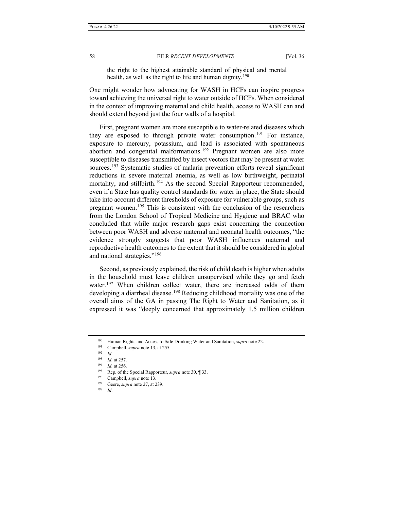the right to the highest attainable standard of physical and mental health, as well as the right to life and human dignity.<sup>[190](#page-25-0)</sup>

One might wonder how advocating for WASH in HCFs can inspire progress toward achieving the universal right to water outside of HCFs. When considered in the context of improving maternal and child health, access to WASH can and should extend beyond just the four walls of a hospital.

First, pregnant women are more susceptible to water-related diseases which they are exposed to through private water consumption.<sup>[191](#page-25-1)</sup> For instance, exposure to mercury, potassium, and lead is associated with spontaneous abortion and congenital malformations.<sup>[192](#page-25-2)</sup> Pregnant women are also more susceptible to diseases transmitted by insect vectors that may be present at water sources.[193](#page-25-3) Systematic studies of malaria prevention efforts reveal significant reductions in severe maternal anemia, as well as low birthweight, perinatal mortality, and stillbirth.<sup>[194](#page-25-4)</sup> As the second Special Rapporteur recommended, even if a State has quality control standards for water in place, the State should take into account different thresholds of exposure for vulnerable groups, such as pregnant women.<sup>[195](#page-25-5)</sup> This is consistent with the conclusion of the researchers from the London School of Tropical Medicine and Hygiene and BRAC who concluded that while major research gaps exist concerning the connection between poor WASH and adverse maternal and neonatal health outcomes, "the evidence strongly suggests that poor WASH influences maternal and reproductive health outcomes to the extent that it should be considered in global and national strategies."[196](#page-25-6)

Second, as previously explained, the risk of child death is higher when adults in the household must leave children unsupervised while they go and fetch water.<sup>[197](#page-25-7)</sup> When children collect water, there are increased odds of them developing a diarrheal disease.<sup>[198](#page-25-8)</sup> Reducing childhood mortality was one of the overall aims of the GA in passing The Right to Water and Sanitation, as it expressed it was "deeply concerned that approximately 1.5 million children

<span id="page-25-1"></span><span id="page-25-0"></span><sup>190</sup> Human Rights and Access to Safe Drinking Water and Sanitation, *supra* note 22.

<sup>191</sup> Campbell, *supra* note 13, at 255.

<span id="page-25-2"></span><sup>192</sup> *Id.*

<span id="page-25-3"></span><sup>193</sup> *Id.* at 257.<br>194 *Id.* at 256

<span id="page-25-5"></span><span id="page-25-4"></span> $\frac{194}{195}$  *Id.* at 256.

Rep. of the Special Rapporteur, *supra* note 30, ¶ 33.

<span id="page-25-6"></span><sup>&</sup>lt;sup>196</sup> Campbell, *supra* note 13.

Geere, *supra* note 27, at 239.

<span id="page-25-8"></span><span id="page-25-7"></span><sup>198</sup> *Id*.